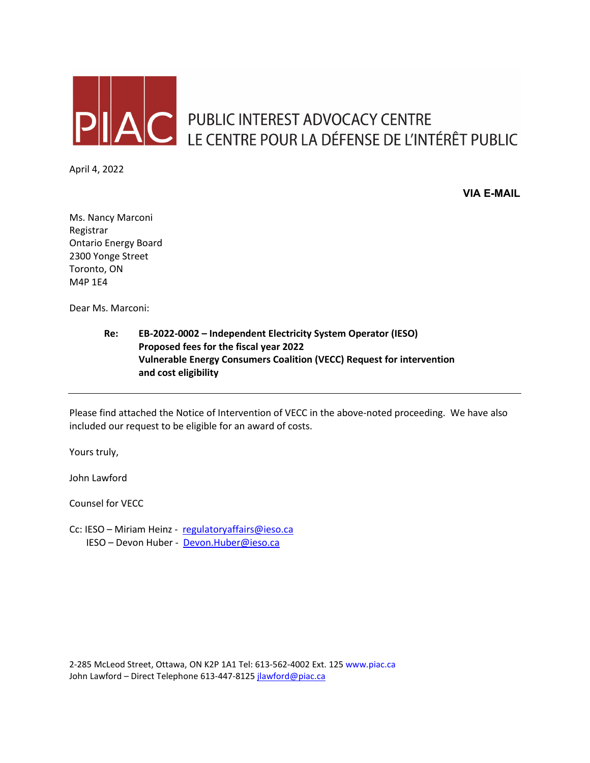

AC PUBLIC INTEREST ADVOCACY CENTRE<br>LE CENTRE POUR LA DÉFENSE DE L'INTÉRÊT PUBLIC

April 4, 2022

**VIA E-MAIL**

Ms. Nancy Marconi Registrar Ontario Energy Board 2300 Yonge Street Toronto, ON M4P 1E4

Dear Ms. Marconi:

**Re: EB-2022-0002 – Independent Electricity System Operator (IESO) Proposed fees for the fiscal year 2022 Vulnerable Energy Consumers Coalition (VECC) Request for intervention and cost eligibility**

Please find attached the Notice of Intervention of VECC in the above-noted proceeding. We have also included our request to be eligible for an award of costs.

Yours truly,

John Lawford

Counsel for VECC

Cc: IESO - Miriam Heinz - [regulatoryaffairs@ieso.ca](mailto:regulatoryaffairs@ieso.ca) IESO – Devon Huber - [Devon.Huber@ieso.ca](mailto:Devon.Huber@ieso.ca)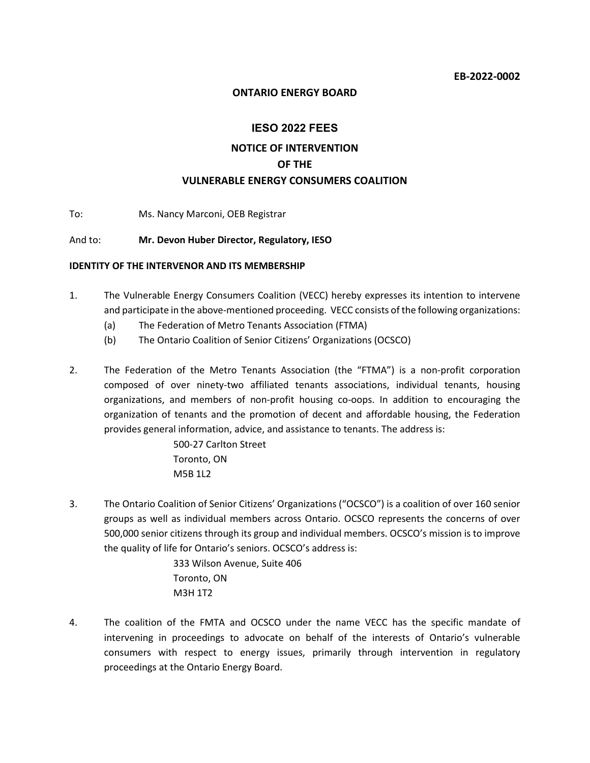#### **ONTARIO ENERGY BOARD**

# **IESO 2022 FEES NOTICE OF INTERVENTION OF THE VULNERABLE ENERGY CONSUMERS COALITION**

To: Ms. Nancy Marconi, OEB Registrar

#### And to: **Mr. Devon Huber Director, Regulatory, IESO**

#### **IDENTITY OF THE INTERVENOR AND ITS MEMBERSHIP**

- 1. The Vulnerable Energy Consumers Coalition (VECC) hereby expresses its intention to intervene and participate in the above-mentioned proceeding. VECC consists of the following organizations:
	- (a) The Federation of Metro Tenants Association (FTMA)
	- (b) The Ontario Coalition of Senior Citizens' Organizations (OCSCO)
- 2. The Federation of the Metro Tenants Association (the "FTMA") is a non-profit corporation composed of over ninety-two affiliated tenants associations, individual tenants, housing organizations, and members of non-profit housing co-oops. In addition to encouraging the organization of tenants and the promotion of decent and affordable housing, the Federation provides general information, advice, and assistance to tenants. The address is:

500-27 Carlton Street Toronto, ON M5B 1L2

3. The Ontario Coalition of Senior Citizens' Organizations ("OCSCO") is a coalition of over 160 senior groups as well as individual members across Ontario. OCSCO represents the concerns of over 500,000 senior citizens through its group and individual members. OCSCO's mission is to improve the quality of life for Ontario's seniors. OCSCO's address is:

> 333 Wilson Avenue, Suite 406 Toronto, ON M3H 1T2

4. The coalition of the FMTA and OCSCO under the name VECC has the specific mandate of intervening in proceedings to advocate on behalf of the interests of Ontario's vulnerable consumers with respect to energy issues, primarily through intervention in regulatory proceedings at the Ontario Energy Board.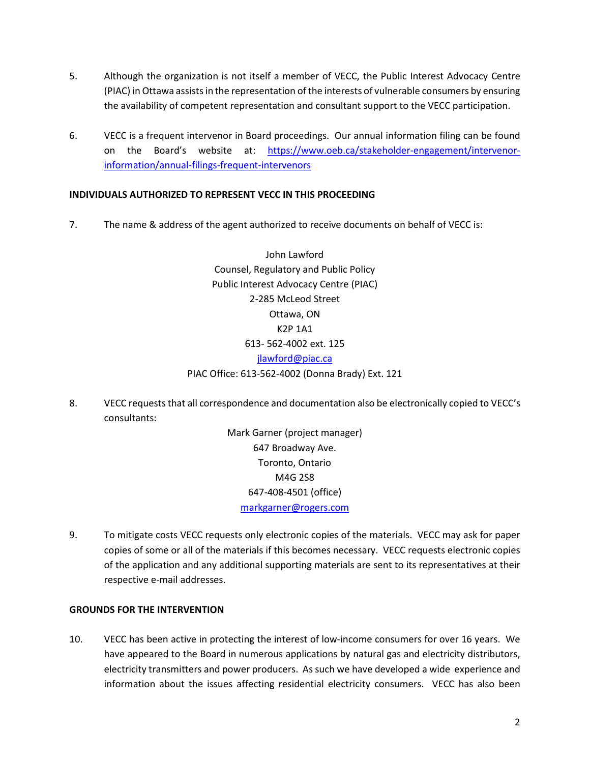- 5. Although the organization is not itself a member of VECC, the Public Interest Advocacy Centre (PIAC) in Ottawa assists in the representation of the interests of vulnerable consumers by ensuring the availability of competent representation and consultant support to the VECC participation.
- 6. VECC is a frequent intervenor in Board proceedings. Our annual information filing can be found on the Board's website at: [https://www.oeb.ca/stakeholder-engagement/intervenor](https://www.oeb.ca/stakeholder-engagement/intervenor-information/annual-filings-frequent-intervenors)[information/annual-filings-frequent-intervenors](https://www.oeb.ca/stakeholder-engagement/intervenor-information/annual-filings-frequent-intervenors)

## **INDIVIDUALS AUTHORIZED TO REPRESENT VECC IN THIS PROCEEDING**

7. The name & address of the agent authorized to receive documents on behalf of VECC is:

John Lawford Counsel, Regulatory and Public Policy Public Interest Advocacy Centre (PIAC) 2-285 McLeod Street Ottawa, ON K2P 1A1 613- 562-4002 ext. 125 [jlawford@piac.ca](mailto:jlawford@piac.ca) PIAC Office: 613-562-4002 (Donna Brady) Ext. 121

8. VECC requeststhat all correspondence and documentation also be electronically copied to VECC's consultants:

> Mark Garner (project manager) 647 Broadway Ave. Toronto, Ontario M4G 2S8 647-408-4501 (office) [markgarner@rogers.com](mailto:markgarner@rogers.com)

9. To mitigate costs VECC requests only electronic copies of the materials. VECC may ask for paper copies of some or all of the materials if this becomes necessary. VECC requests electronic copies of the application and any additional supporting materials are sent to its representatives at their respective e-mail addresses.

## **GROUNDS FOR THE INTERVENTION**

10. VECC has been active in protecting the interest of low-income consumers for over 16 years. We have appeared to the Board in numerous applications by natural gas and electricity distributors, electricity transmitters and power producers. As such we have developed a wide experience and information about the issues affecting residential electricity consumers. VECC has also been